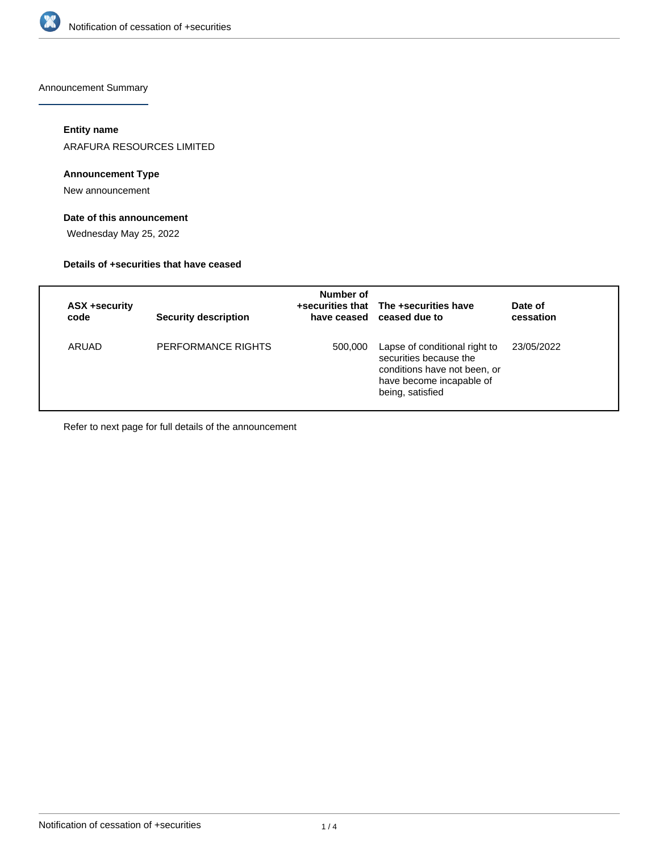

Announcement Summary

# **Entity name**

ARAFURA RESOURCES LIMITED

# **Announcement Type**

New announcement

# **Date of this announcement**

Wednesday May 25, 2022

# **Details of +securities that have ceased**

| ASX +security<br>code | <b>Security description</b> | Number of | +securities that The +securities have<br>have ceased ceased due to                                                                      | Date of<br>cessation |
|-----------------------|-----------------------------|-----------|-----------------------------------------------------------------------------------------------------------------------------------------|----------------------|
| ARUAD                 | PERFORMANCE RIGHTS          | 500,000   | Lapse of conditional right to<br>securities because the<br>conditions have not been, or<br>have become incapable of<br>being, satisfied | 23/05/2022           |

Refer to next page for full details of the announcement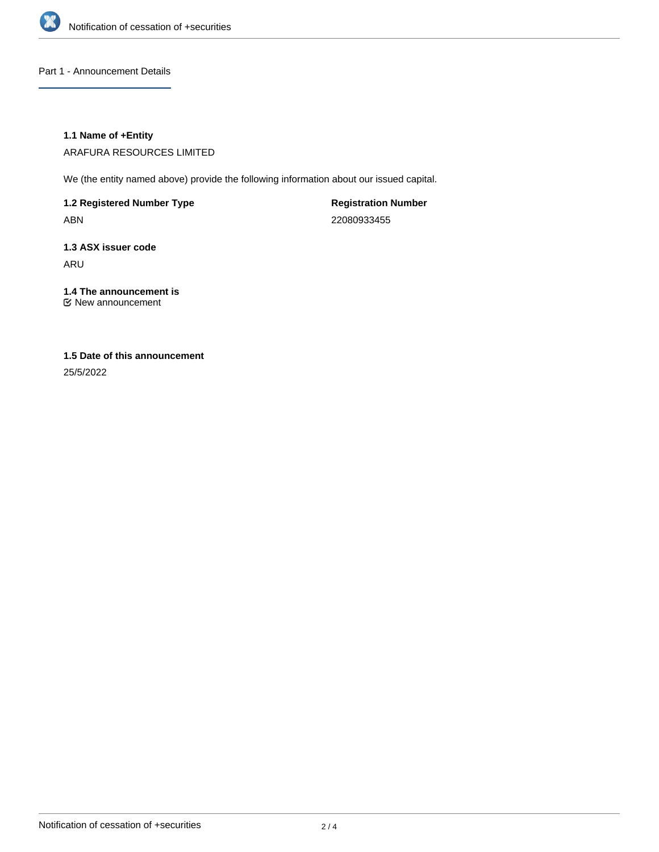

Part 1 - Announcement Details

# **1.1 Name of +Entity**

ARAFURA RESOURCES LIMITED

We (the entity named above) provide the following information about our issued capital.

**1.2 Registered Number Type** ABN

**Registration Number** 22080933455

**1.3 ASX issuer code** ARU

**1.4 The announcement is** New announcement

# **1.5 Date of this announcement**

25/5/2022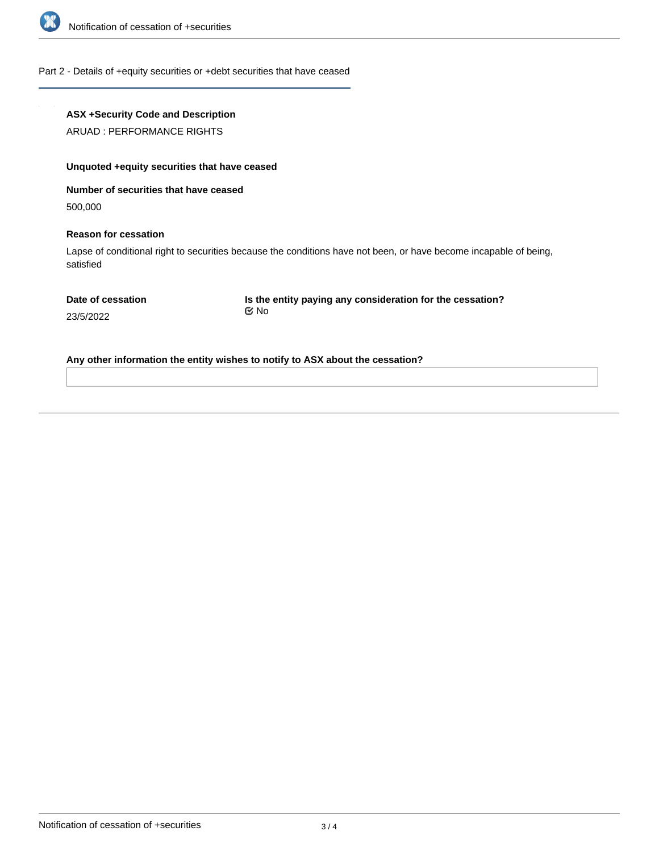

#### Part 2 - Details of +equity securities or +debt securities that have ceased

# **ASX +Security Code and Description**

ARUAD : PERFORMANCE RIGHTS

# **Unquoted +equity securities that have ceased**

**Number of securities that have ceased**

500,000

#### **Reason for cessation**

Lapse of conditional right to securities because the conditions have not been, or have become incapable of being, satisfied

**Is the entity paying any consideration for the cessation?** No

23/5/2022

**Any other information the entity wishes to notify to ASX about the cessation?**